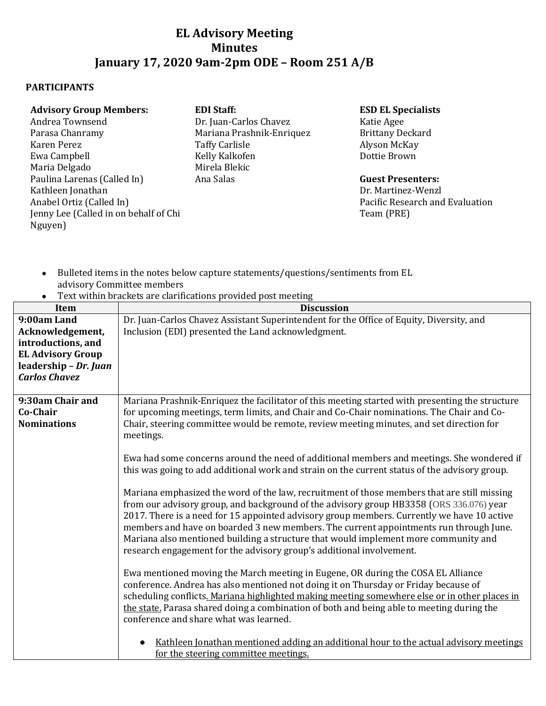## **EL Advisory Meeting Minutes January 17, 2020 9am-2pm ODE – Room 251 A/B**

## **PARTICIPANTS**

| <b>Advisory Group Members:</b>        | <b>EDI Staff:</b>         | <b>ESD EL Specialists</b>       |
|---------------------------------------|---------------------------|---------------------------------|
| Andrea Townsend                       | Dr. Juan-Carlos Chavez    | Katie Agee                      |
| Parasa Chanramy                       | Mariana Prashnik-Enriquez | <b>Brittany Deckard</b>         |
| Karen Perez                           | <b>Taffy Carlisle</b>     | Alyson McKay                    |
| Ewa Campbell                          | Kelly Kalkofen            | Dottie Brown                    |
| Maria Delgado                         | Mirela Blekic             |                                 |
| Paulina Larenas (Called In)           | Ana Salas                 | <b>Guest Presenters:</b>        |
| Kathleen Jonathan                     |                           | Dr. Martinez-Wenzl              |
| Anabel Ortiz (Called In)              |                           | Pacific Research and Evaluation |
| Jenny Lee (Called in on behalf of Chi |                           | Team (PRE)                      |
| Nguyen)                               |                           |                                 |

- Bulleted items in the notes below capture statements/questions/sentiments from EL advisory Committee members
- Text within brackets are clarifications provided post meeting

| Item                     | <b>Discussion</b>                                                                               |  |
|--------------------------|-------------------------------------------------------------------------------------------------|--|
| 9:00am Land              | Dr. Juan-Carlos Chavez Assistant Superintendent for the Office of Equity, Diversity, and        |  |
| Acknowledgement,         | Inclusion (EDI) presented the Land acknowledgment.                                              |  |
| introductions, and       |                                                                                                 |  |
| <b>EL Advisory Group</b> |                                                                                                 |  |
| leadership - Dr. Juan    |                                                                                                 |  |
| <b>Carlos Chavez</b>     |                                                                                                 |  |
|                          |                                                                                                 |  |
| 9:30am Chair and         | Mariana Prashnik-Enriquez the facilitator of this meeting started with presenting the structure |  |
| Co-Chair                 | for upcoming meetings, term limits, and Chair and Co-Chair nominations. The Chair and Co-       |  |
| <b>Nominations</b>       | Chair, steering committee would be remote, review meeting minutes, and set direction for        |  |
|                          | meetings.                                                                                       |  |
|                          |                                                                                                 |  |
|                          | Ewa had some concerns around the need of additional members and meetings. She wondered if       |  |
|                          | this was going to add additional work and strain on the current status of the advisory group.   |  |
|                          |                                                                                                 |  |
|                          | Mariana emphasized the word of the law, recruitment of those members that are still missing     |  |
|                          | from our advisory group, and background of the advisory group HB3358 (ORS 336.076) year         |  |
|                          | 2017. There is a need for 15 appointed advisory group members. Currently we have 10 active      |  |
|                          | members and have on boarded 3 new members. The current appointments run through June.           |  |
|                          | Mariana also mentioned building a structure that would implement more community and             |  |
|                          | research engagement for the advisory group's additional involvement.                            |  |
|                          |                                                                                                 |  |
|                          | Ewa mentioned moving the March meeting in Eugene, OR during the COSA EL Alliance                |  |
|                          | conference. Andrea has also mentioned not doing it on Thursday or Friday because of             |  |
|                          | scheduling conflicts. Mariana highlighted making meeting somewhere else or in other places in   |  |
|                          | the state. Parasa shared doing a combination of both and being able to meeting during the       |  |
|                          | conference and share what was learned.                                                          |  |
|                          |                                                                                                 |  |
|                          | Kathleen Jonathan mentioned adding an additional hour to the actual advisory meetings           |  |
|                          | for the steering committee meetings.                                                            |  |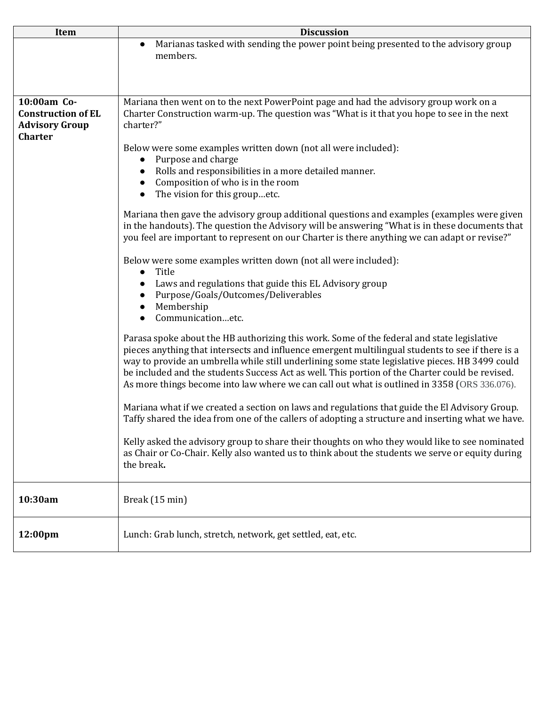| Item                      | <b>Discussion</b>                                                                                 |
|---------------------------|---------------------------------------------------------------------------------------------------|
|                           | Marianas tasked with sending the power point being presented to the advisory group<br>$\bullet$   |
|                           | members.                                                                                          |
|                           |                                                                                                   |
|                           |                                                                                                   |
|                           |                                                                                                   |
| 10:00am Co-               | Mariana then went on to the next PowerPoint page and had the advisory group work on a             |
| <b>Construction of EL</b> | Charter Construction warm-up. The question was "What is it that you hope to see in the next       |
| <b>Advisory Group</b>     | charter?"                                                                                         |
| <b>Charter</b>            |                                                                                                   |
|                           | Below were some examples written down (not all were included):                                    |
|                           | Purpose and charge                                                                                |
|                           | Rolls and responsibilities in a more detailed manner.                                             |
|                           | Composition of who is in the room                                                                 |
|                           | The vision for this groupetc.<br>$\bullet$                                                        |
|                           |                                                                                                   |
|                           | Mariana then gave the advisory group additional questions and examples (examples were given       |
|                           | in the handouts). The question the Advisory will be answering "What is in these documents that    |
|                           | you feel are important to represent on our Charter is there anything we can adapt or revise?"     |
|                           |                                                                                                   |
|                           | Below were some examples written down (not all were included):                                    |
|                           | Title<br>$\bullet$                                                                                |
|                           | Laws and regulations that guide this EL Advisory group                                            |
|                           | Purpose/Goals/Outcomes/Deliverables                                                               |
|                           | Membership                                                                                        |
|                           | Communicationetc.                                                                                 |
|                           | Parasa spoke about the HB authorizing this work. Some of the federal and state legislative        |
|                           | pieces anything that intersects and influence emergent multilingual students to see if there is a |
|                           | way to provide an umbrella while still underlining some state legislative pieces. HB 3499 could   |
|                           | be included and the students Success Act as well. This portion of the Charter could be revised.   |
|                           | As more things become into law where we can call out what is outlined in 3358 (ORS 336.076).      |
|                           |                                                                                                   |
|                           | Mariana what if we created a section on laws and regulations that guide the El Advisory Group.    |
|                           | Taffy shared the idea from one of the callers of adopting a structure and inserting what we have. |
|                           |                                                                                                   |
|                           | Kelly asked the advisory group to share their thoughts on who they would like to see nominated    |
|                           | as Chair or Co-Chair. Kelly also wanted us to think about the students we serve or equity during  |
|                           | the break.                                                                                        |
|                           |                                                                                                   |
|                           |                                                                                                   |
| 10:30am                   | Break (15 min)                                                                                    |
|                           |                                                                                                   |
|                           |                                                                                                   |
| 12:00pm                   | Lunch: Grab lunch, stretch, network, get settled, eat, etc.                                       |
|                           |                                                                                                   |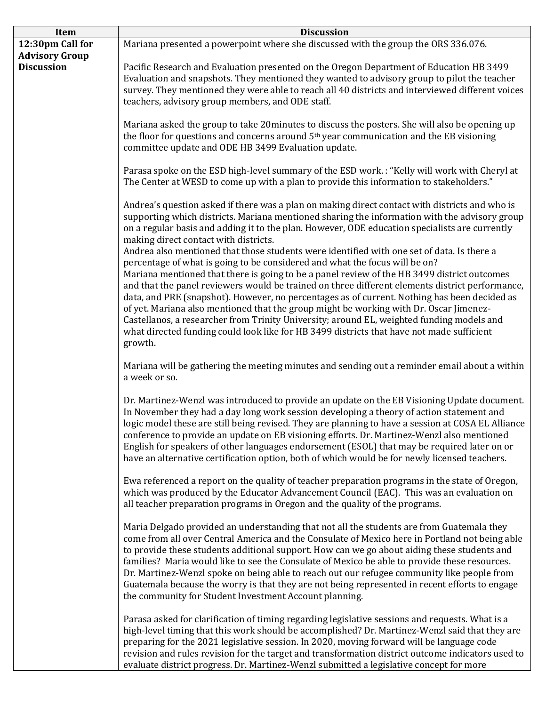| Item                  | <b>Discussion</b>                                                                                                                                                                                                                                                                                                                                                                                                                                                                                                                                                                                                                                     |  |
|-----------------------|-------------------------------------------------------------------------------------------------------------------------------------------------------------------------------------------------------------------------------------------------------------------------------------------------------------------------------------------------------------------------------------------------------------------------------------------------------------------------------------------------------------------------------------------------------------------------------------------------------------------------------------------------------|--|
| 12:30pm Call for      | Mariana presented a powerpoint where she discussed with the group the ORS 336.076.                                                                                                                                                                                                                                                                                                                                                                                                                                                                                                                                                                    |  |
| <b>Advisory Group</b> |                                                                                                                                                                                                                                                                                                                                                                                                                                                                                                                                                                                                                                                       |  |
| <b>Discussion</b>     | Pacific Research and Evaluation presented on the Oregon Department of Education HB 3499<br>Evaluation and snapshots. They mentioned they wanted to advisory group to pilot the teacher<br>survey. They mentioned they were able to reach all 40 districts and interviewed different voices<br>teachers, advisory group members, and ODE staff.                                                                                                                                                                                                                                                                                                        |  |
|                       | Mariana asked the group to take 20 minutes to discuss the posters. She will also be opening up<br>the floor for questions and concerns around 5 <sup>th</sup> year communication and the EB visioning<br>committee update and ODE HB 3499 Evaluation update.                                                                                                                                                                                                                                                                                                                                                                                          |  |
|                       | Parasa spoke on the ESD high-level summary of the ESD work.: "Kelly will work with Cheryl at<br>The Center at WESD to come up with a plan to provide this information to stakeholders."                                                                                                                                                                                                                                                                                                                                                                                                                                                               |  |
|                       | Andrea's question asked if there was a plan on making direct contact with districts and who is<br>supporting which districts. Mariana mentioned sharing the information with the advisory group<br>on a regular basis and adding it to the plan. However, ODE education specialists are currently<br>making direct contact with districts.<br>Andrea also mentioned that those students were identified with one set of data. Is there a                                                                                                                                                                                                              |  |
|                       | percentage of what is going to be considered and what the focus will be on?                                                                                                                                                                                                                                                                                                                                                                                                                                                                                                                                                                           |  |
|                       | Mariana mentioned that there is going to be a panel review of the HB 3499 district outcomes<br>and that the panel reviewers would be trained on three different elements district performance,<br>data, and PRE (snapshot). However, no percentages as of current. Nothing has been decided as<br>of yet. Mariana also mentioned that the group might be working with Dr. Oscar Jimenez-<br>Castellanos, a researcher from Trinity University; around EL, weighted funding models and<br>what directed funding could look like for HB 3499 districts that have not made sufficient<br>growth.                                                         |  |
|                       | Mariana will be gathering the meeting minutes and sending out a reminder email about a within<br>a week or so.                                                                                                                                                                                                                                                                                                                                                                                                                                                                                                                                        |  |
|                       | Dr. Martinez-Wenzl was introduced to provide an update on the EB Visioning Update document.<br>In November they had a day long work session developing a theory of action statement and<br>logic model these are still being revised. They are planning to have a session at COSA EL Alliance<br>conference to provide an update on EB visioning efforts. Dr. Martinez-Wenzl also mentioned<br>English for speakers of other languages endorsement (ESOL) that may be required later on or<br>have an alternative certification option, both of which would be for newly licensed teachers.                                                           |  |
|                       | Ewa referenced a report on the quality of teacher preparation programs in the state of Oregon,<br>which was produced by the Educator Advancement Council (EAC). This was an evaluation on<br>all teacher preparation programs in Oregon and the quality of the programs.                                                                                                                                                                                                                                                                                                                                                                              |  |
|                       | Maria Delgado provided an understanding that not all the students are from Guatemala they<br>come from all over Central America and the Consulate of Mexico here in Portland not being able<br>to provide these students additional support. How can we go about aiding these students and<br>families? Maria would like to see the Consulate of Mexico be able to provide these resources.<br>Dr. Martinez-Wenzl spoke on being able to reach out our refugee community like people from<br>Guatemala because the worry is that they are not being represented in recent efforts to engage<br>the community for Student Investment Account planning. |  |
|                       | Parasa asked for clarification of timing regarding legislative sessions and requests. What is a<br>high-level timing that this work should be accomplished? Dr. Martinez-Wenzl said that they are<br>preparing for the 2021 legislative session. In 2020, moving forward will be language code<br>revision and rules revision for the target and transformation district outcome indicators used to<br>evaluate district progress. Dr. Martinez-Wenzl submitted a legislative concept for more                                                                                                                                                        |  |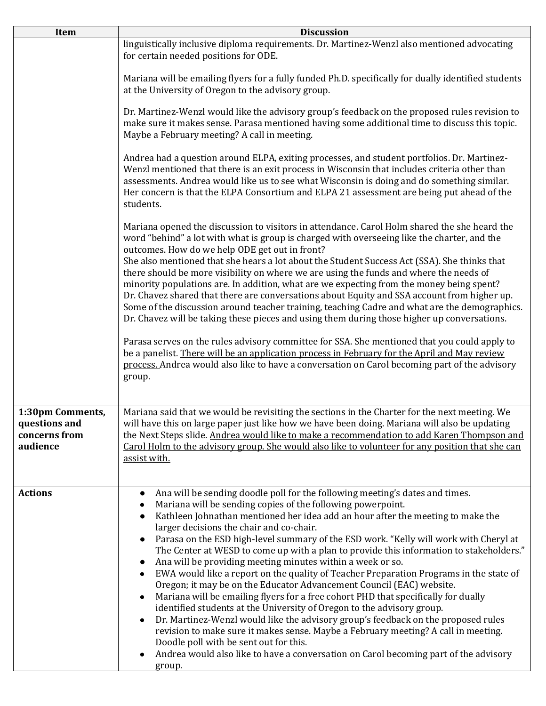| Item                                                           | <b>Discussion</b>                                                                                                                                                                                                                                                                                                                                                                                                                                                                                                                                                                                                                                                                                                                                                                                                                                                                                                                                                                                                                                                                                                                                                                                               |
|----------------------------------------------------------------|-----------------------------------------------------------------------------------------------------------------------------------------------------------------------------------------------------------------------------------------------------------------------------------------------------------------------------------------------------------------------------------------------------------------------------------------------------------------------------------------------------------------------------------------------------------------------------------------------------------------------------------------------------------------------------------------------------------------------------------------------------------------------------------------------------------------------------------------------------------------------------------------------------------------------------------------------------------------------------------------------------------------------------------------------------------------------------------------------------------------------------------------------------------------------------------------------------------------|
|                                                                | linguistically inclusive diploma requirements. Dr. Martinez-Wenzl also mentioned advocating<br>for certain needed positions for ODE.                                                                                                                                                                                                                                                                                                                                                                                                                                                                                                                                                                                                                                                                                                                                                                                                                                                                                                                                                                                                                                                                            |
|                                                                | Mariana will be emailing flyers for a fully funded Ph.D. specifically for dually identified students<br>at the University of Oregon to the advisory group.                                                                                                                                                                                                                                                                                                                                                                                                                                                                                                                                                                                                                                                                                                                                                                                                                                                                                                                                                                                                                                                      |
|                                                                | Dr. Martinez-Wenzl would like the advisory group's feedback on the proposed rules revision to<br>make sure it makes sense. Parasa mentioned having some additional time to discuss this topic.<br>Maybe a February meeting? A call in meeting.                                                                                                                                                                                                                                                                                                                                                                                                                                                                                                                                                                                                                                                                                                                                                                                                                                                                                                                                                                  |
|                                                                | Andrea had a question around ELPA, exiting processes, and student portfolios. Dr. Martinez-<br>Wenzl mentioned that there is an exit process in Wisconsin that includes criteria other than<br>assessments. Andrea would like us to see what Wisconsin is doing and do something similar.<br>Her concern is that the ELPA Consortium and ELPA 21 assessment are being put ahead of the<br>students.                                                                                                                                                                                                                                                                                                                                                                                                                                                                                                                                                                                                                                                                                                                                                                                                             |
|                                                                | Mariana opened the discussion to visitors in attendance. Carol Holm shared the she heard the<br>word "behind" a lot with what is group is charged with overseeing like the charter, and the<br>outcomes. How do we help ODE get out in front?                                                                                                                                                                                                                                                                                                                                                                                                                                                                                                                                                                                                                                                                                                                                                                                                                                                                                                                                                                   |
|                                                                | She also mentioned that she hears a lot about the Student Success Act (SSA). She thinks that<br>there should be more visibility on where we are using the funds and where the needs of<br>minority populations are. In addition, what are we expecting from the money being spent?<br>Dr. Chavez shared that there are conversations about Equity and SSA account from higher up.<br>Some of the discussion around teacher training, teaching Cadre and what are the demographics.<br>Dr. Chavez will be taking these pieces and using them during those higher up conversations.                                                                                                                                                                                                                                                                                                                                                                                                                                                                                                                                                                                                                               |
|                                                                | Parasa serves on the rules advisory committee for SSA. She mentioned that you could apply to<br>be a panelist. There will be an application process in February for the April and May review<br>process. Andrea would also like to have a conversation on Carol becoming part of the advisory<br>group.                                                                                                                                                                                                                                                                                                                                                                                                                                                                                                                                                                                                                                                                                                                                                                                                                                                                                                         |
| 1:30pm Comments,<br>questions and<br>concerns from<br>audience | Mariana said that we would be revisiting the sections in the Charter for the next meeting. We<br>will have this on large paper just like how we have been doing. Mariana will also be updating<br>the Next Steps slide. Andrea would like to make a recommendation to add Karen Thompson and<br>Carol Holm to the advisory group. She would also like to volunteer for any position that she can<br>assist with.                                                                                                                                                                                                                                                                                                                                                                                                                                                                                                                                                                                                                                                                                                                                                                                                |
| <b>Actions</b>                                                 | Ana will be sending doodle poll for the following meeting's dates and times.<br>$\bullet$<br>Mariana will be sending copies of the following powerpoint.<br>Kathleen Johnathan mentioned her idea add an hour after the meeting to make the<br>larger decisions the chair and co-chair.<br>Parasa on the ESD high-level summary of the ESD work. "Kelly will work with Cheryl at<br>The Center at WESD to come up with a plan to provide this information to stakeholders."<br>Ana will be providing meeting minutes within a week or so.<br>EWA would like a report on the quality of Teacher Preparation Programs in the state of<br>Oregon; it may be on the Educator Advancement Council (EAC) website.<br>Mariana will be emailing flyers for a free cohort PHD that specifically for dually<br>$\bullet$<br>identified students at the University of Oregon to the advisory group.<br>Dr. Martinez-Wenzl would like the advisory group's feedback on the proposed rules<br>revision to make sure it makes sense. Maybe a February meeting? A call in meeting.<br>Doodle poll with be sent out for this.<br>Andrea would also like to have a conversation on Carol becoming part of the advisory<br>group. |